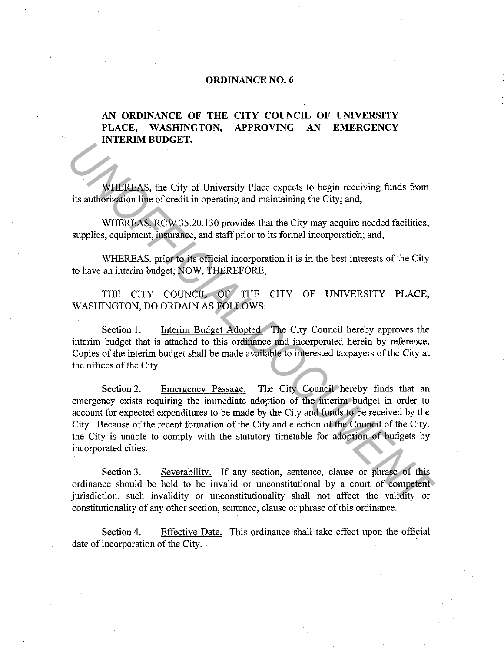#### **ORDINANCE NO. 6**

#### **AN ORDINANCE OF THE CITY COUNCIL OF UNIVERSITY PLACE, WASHINGTON, APPROVING AN EMERGENCY INTERIM BUDGET.**

WHEREAS, the City of University Place expects to begin receiving funds from its authorization line of credit in operating and maintaining the City; and,

WHEREAS, RCW 35.20.130 provides that the City may acquire needed facilities, supplies, equipment, insurance, and staff prior to its formal incorporation; and,

WHEREAS, prior to its official incorporation it is in the best interests of the City to have an interim budget; NOW, THEREFORE,

THE CITY COUNCIL OF THE CITY OF UNIVERSITY PLACE, WASHINGTON, DO ORDAIN AS FOLLOWS:

Section I. Interim Budget Adopted. The City Council hereby approves the interim budget that is attached to this ordinance and incorporated herein by reference. Copies of the interim budget shall be made available to interested taxpayers of the City at the offices of the City.

Section 2. Emergency Passage. The City Council hereby finds that an emergency exists requiring the immediate adoption of the interim budget in order to account for expected expenditures to be made by the City and funds to be received by the City. Because of the recent formation of the City and election of the Council of the City, the City is unable to comply with the statutory timetable for adoption of budgets by incorporated cities. **UNIFIERAS,** the City of University Place expects to begin receiving funds from<br>
its authorized to find the of credit in operating and maintaining the City; and,<br>
WHEREAS, RCW, 35.20.130 provides that the City may acquire

Section 3. Severability. If any section, sentence, clause or phrase of this ordinance should be held to be invalid or unconstitutional by a court of competent jurisdiction, such invalidity or unconstitutionality shall not affect the validity or constitutionality of any other section, sentence, clause or phrase of this ordinance.

Section 4. Effective Date. This ordinance shall take effect upon the official date of incorporation of the City.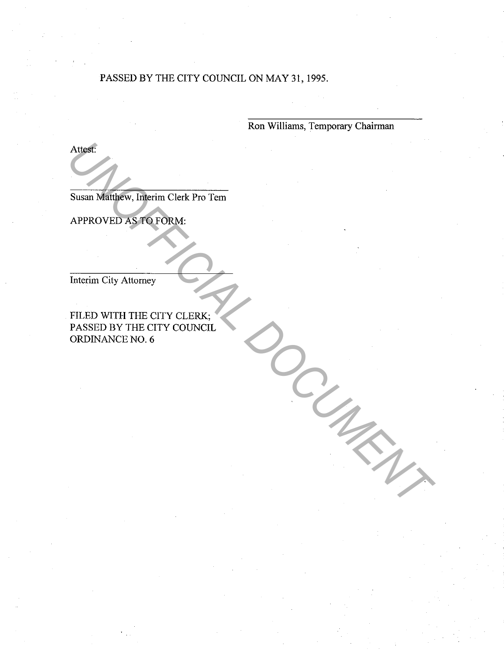#### PASSED BY THE CITY COUNCIL ON MAY 31, 1995.

Ron Williams, Temporary Chairman

Attest:

Susan Matthew, Interim Clerk Pro Tern

APPROVED AS TO FORM:

Interim City Attorney

FILED WITH THE CITY CLERK; PASSED BY THE CITY COUNCIL ORDINANCE NO. 6 Austrich Matthew, Interim Clerk Pro Tem<br>
APPROVED AS PO FORM:<br>
Interim City Altomey<br>
FILED WITH THE CITY CLERK;<br>
PASSED BY THE CITY COUNCIL<br>
ORDINANCE NO. 6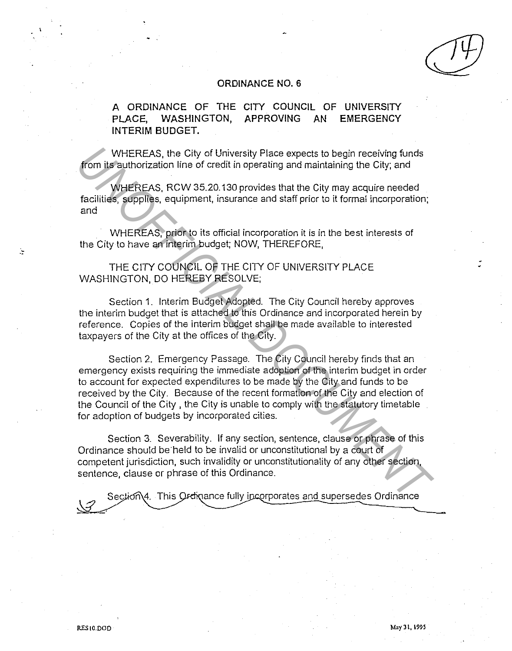#### **ORDINANCE NO. 6**

**A ORDINANCE OF THE CITY COUNCIL OF UNIVERSITY PLACE, WASHINGTON, APPROVING AN EMERGENCY INTERIM BUDGET.** 

WHEREAS, the City of University Place expects to begin receiving funds from its authorization line of credit in operating and maintaining the City; and

WHEREAS, RCW 35.20.130 provides that the City may acquire needed facilities, supplies, equipment, insurance and staff prior to it formal incorporation; and

WHEREAS, prior to its official incorporation it is in the best interests of the City to have an interim budget; NOW, THEREFORE,

THE CITY COUNCIL OF THE CITY OF UNIVERSITY PLACE WASHINGTON, DO HEREBY RESOLVE;

Section 1. Interim Budget Adopted. The City Council hereby approves the interim budget that is attached to this Ordinance and incorporated herein by reference. Copies of the interim budget shall be made available to interested taxpayers of the City at the offices of the City.

Section 2. Emergency Passage. The City Council hereby finds that an emergency exists requiring the immediate adoption of the interim budget in order to account for expected expenditures to be made by the City and funds to be received by the City. Because of the recent formation of the City and election of the Council of the City , the City is unable to comply with the statutory timetable for adoption of budgets by incorporated cities. *WHEREAS*, the City of University Place expects to begin receiving funds<br> **From its** authorization line of credit in operating and maintaining the City, and<br> **ICON ACCUMENT COCUMENT** and main and maintaining the City rand<br>

Section 3. Severability. If any section, sentence, clause or phrase of this Ordinance should be held to be invalid or unconstitutional by a court of competent jurisdiction, such invalidity or unconstitutionality of any other section, sentence, clause or phrase of this Ordinance.

Section\4. This Ordinance fully incorporates and supersedes Ordinance

Ċ,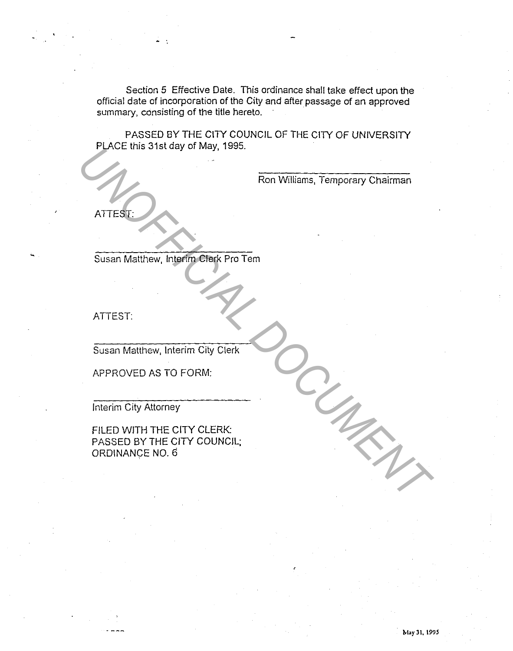Section 5 Effective Date. This ordinance shall take effect upon the official date of incorporation of the City and after passage of an approved summary, consisting of the title hereto.

PASSED BY THE CITY COUNCIL OF THE CITY OF UNIVERSITY PLACE this 31st day of May, 1995.

Ron Williams, Temporary Chairman

ATTEST:

Susan Matthew, Interim Clerk Pro Tern

ATTEST:

Susan Matthew, Interim City Clerk

APPROVED AS TO FORM:

Interim City Attorney

FILED WITH THE CITY CLERK: PASSED BY THE CITY COUNCIL; ORDINANCE NO. 6 FUCE dias 3 islagy or Way, 1993.<br>
Ron Williams, Temporary Chairman<br>
ATTEST:<br>
Susan Malthew, Interfact Pro Tem<br>
ATTEST:<br>
Susan Malthew, Interfact City Cierk<br>
APPROVED AS TO FORM:<br>
Interim City Altorney<br>
FILED WITH THE CITY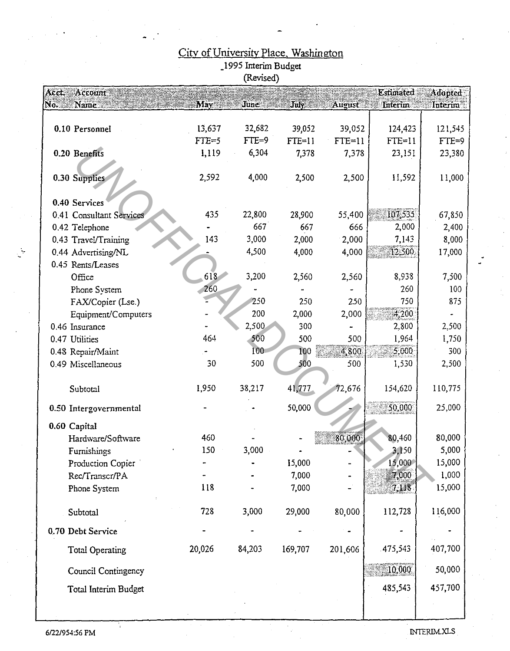|                                 |                     | (Revised) |                |          |                             |                                          |
|---------------------------------|---------------------|-----------|----------------|----------|-----------------------------|------------------------------------------|
| Acct<br>Account:<br>No.<br>Name | ${\bf M}$ ay $\Box$ | June      | $\mathbf{Juk}$ | August   | <b>Estimated</b><br>Interim | $\overline{\mathbf{Adapted}}$<br>Interim |
|                                 |                     |           |                |          |                             |                                          |
| 0.10 Personnel                  | 13,637              | 32,682    | 39,052         | 39,052   | 124,423                     | 121,545                                  |
|                                 | $FTE=5$             | $FTE=9$   | $FTE=11$       | $FTE=11$ | $FTE=11$                    | $FTE=9$                                  |
| 0.20 Benefits                   | 1,119               | 6,304     | 7,378          | 7,378    | 23,151                      | 23,380                                   |
|                                 |                     |           |                |          |                             |                                          |
| 0.30 Supplies                   | 2,592               | 4,000     | 2,500          | 2,500    | 11,592                      | 11,000                                   |
|                                 |                     |           |                |          |                             |                                          |
| 0.40 Services                   |                     |           |                |          |                             |                                          |
| 0.41 Consultant Services        | 435                 | 22,800    | 28,900         | 55,400   | 107,535                     | 67,850                                   |
| 0.42 Telephone                  |                     | 667       | 667            | 666      | 2,000                       | 2,400                                    |
| 0.43 Travel/Training            | 143                 | 3,000     | 2,000          | 2,000    | 7,143                       | 8,000                                    |
| 0.44 Advertising/NL             |                     | 4,500     | 4,000          | 4,000    | 12,500                      | 17,000                                   |
| 0.45 Rents/Leases               |                     |           |                |          |                             |                                          |
| Office                          | 618                 | 3,200     | 2,560          | 2,560    | 8,938                       | 7,500                                    |
| Phone System                    | 260                 |           |                |          | 260                         | 100                                      |
| FAX/Copier (Lse.)               |                     | 250       | 250            | 250      | 750                         | 875                                      |
| Equipment/Computers             |                     | 200       | 2,000          | 2,000    | 4,200                       |                                          |
| 0.46 Insurance                  |                     | 2,500     | 300            |          | 2,800                       | 2,500                                    |
| 0.47 Utilities                  | 464                 | 500       | 500            | 500      | 1,964                       | 1,750                                    |
| 0.48 Repair/Maint               |                     | 100       | 100            | 4,800    | 5,000                       | 300                                      |
| 0.49 Miscellaneous              | 30                  | 500       | 500            | 500      | 1,530                       | 2,500                                    |
|                                 |                     |           |                |          |                             |                                          |
| Subtotal                        | 1,950               | 38,217    | 41,777         | 72,676   | 154,620                     | 110,775                                  |
| 0.50 Intergovernmental          |                     |           | 50,000         |          | 50,000                      | 25,000                                   |
| 0.60 Capital                    |                     |           |                |          |                             |                                          |
| Hardware/Software               | 460                 |           |                | 80.000   | 80,460                      | 80,000                                   |
| Furnishings                     | 150                 | 3,000     |                |          | 3,150                       | 5,000                                    |
| Production Copier               |                     |           | 15,000         |          | 15,000                      | 15,000                                   |
| Rec/Transcr/PA                  |                     |           | 7,000          |          | 7.000                       | 1,000                                    |
| Phone System                    | 118                 |           | 7,000          |          | 7,118                       | 15,000                                   |
| Subtotal                        | 728                 | 3,000     | 29,000         | 80,000   | 112,728                     | 116,000                                  |
| 0.70 Debt Service               |                     |           |                |          |                             |                                          |
| Total Operating                 | 20,026              | 84,203    | 169,707        | 201,606  | 475,543                     | 407,700                                  |
| Council Contingency             |                     |           |                |          | 10,000                      | 50,000                                   |
| Total Interim Budget            |                     |           |                |          | 485,543                     | 457,700                                  |
|                                 |                     |           |                |          |                             |                                          |
|                                 |                     |           |                |          |                             |                                          |

# City of University Place, Washington<br>1995 Interim Budget<br>(Revised)

 $\mathbb{R}^2$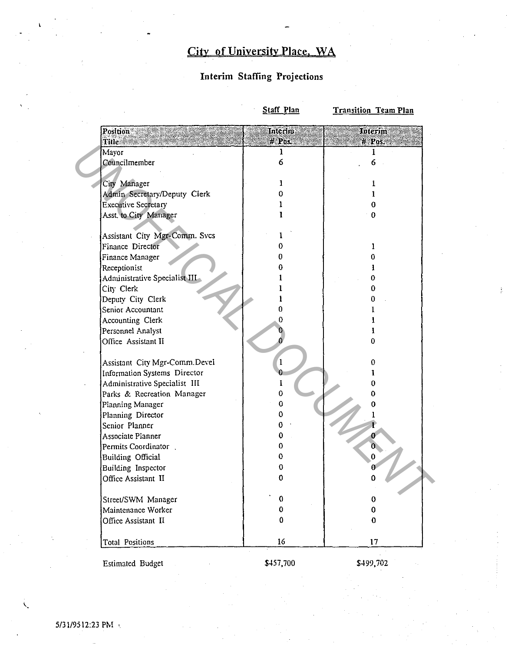## **City of Uniyersity Place. WA**

#### **Interim Staffing Projections**

**Staff Plan Transition Team Plan** 

|       | Position                                     | Interim  | Interim  |  |
|-------|----------------------------------------------|----------|----------|--|
| Title |                                              | P0 -     | # Pos.   |  |
| Mayor | Councilmember                                | ı<br>6   |          |  |
|       |                                              |          | 6        |  |
|       |                                              | 1        |          |  |
|       | City Manager<br>Admin Secretary/Deputy Clerk | 0.       | 1<br>1   |  |
|       |                                              |          |          |  |
|       | <b>Executive Secretary</b>                   |          | 0<br>0   |  |
|       | Asst. to City Manager                        |          |          |  |
|       | Assistant City Mgr-Comm. Svcs                |          |          |  |
|       | Finance Director                             | 0        |          |  |
|       | Finance Manager                              | 0        | 0        |  |
|       | Receptionist                                 | Ռ        |          |  |
|       | Administrative Specialist III                |          | 0        |  |
|       | City Clerk                                   |          | 0        |  |
|       | Deputy City Clerk                            |          | a        |  |
|       | Senior Accountant                            | 0        |          |  |
|       | Accounting Clerk                             | 0        |          |  |
|       | Personnel Analyst                            |          |          |  |
|       | Office Assistant II                          |          | 0        |  |
|       |                                              |          |          |  |
|       | Assistant City Mgr-Comm.Devel                |          | 0        |  |
|       | Information Systems Director                 |          |          |  |
|       | Administrative Specialist III                |          | U        |  |
|       | Parks & Recreation Manager                   | 0        | 0        |  |
|       | Planning Manager                             | $\bf{0}$ | 0        |  |
|       | Planning Director                            | 0        |          |  |
|       | Senior Planner                               | 0        |          |  |
|       | Associate Planner                            | 0        |          |  |
|       | Permits Coordinator                          | 0.       | 0.       |  |
|       | <b>Building Official</b>                     | 0.       | $\bf{0}$ |  |
|       | Building Inspector                           | 0        | 0        |  |
|       | Office Assistant II                          | 0        | Ω        |  |
|       |                                              |          |          |  |
|       | Street/SWM Manager                           | 0        | $\bf{0}$ |  |
|       | Maintenance Worker                           | 0        | 0        |  |
|       | Office Assistant II                          | 0        | $\bf{0}$ |  |
|       | Total Positions                              | 16       | 17       |  |

Estimated Budget

\$457,700

\$499,702

 $\mathbf{C}$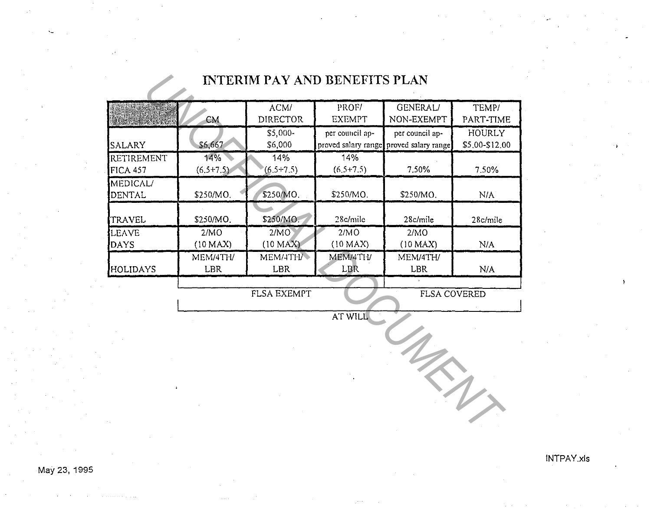# **INTERIM PAY AND BENEFITS PLAN**

|                        |                               |                     | <b>INTERIM PAY AND BENEFITS PLAN</b> |                                                            |                                 |  |
|------------------------|-------------------------------|---------------------|--------------------------------------|------------------------------------------------------------|---------------------------------|--|
|                        | ACM/<br>DIRECTOR<br><b>CM</b> |                     | PROF/<br><b>EXEMPT</b>               | <b>GENERAL/</b><br>NON-EXEMPT                              | TEMP/<br>PART-TIME              |  |
| SALARY                 | \$6,667                       | \$5,000-<br>\$6,000 | per council ap-                      | per council ap-<br>proved salary range proved salary range | <b>HOURLY</b><br>\$5,00-\$12.00 |  |
| RETIREMENT<br>FICA 457 | 14%<br>$(6.5+7.5)$            | 14%<br>$(6.5+7.5)$  | 14%<br>$(6.5+7.5)$                   | 7.50%                                                      | 7.50%                           |  |
| MEDICAL/<br>DENTAL     | \$250/MO.                     | \$250/MO.           | \$250/MO.                            | \$250/MO.                                                  | N/A                             |  |
| TRAVEL                 | \$250/MO.                     | \$250/MO.           | 28c/mile                             | 28c/mile                                                   | 28c/mile                        |  |
| LEAVE<br>DAYS          | 2/MO<br>(10 MAX)              | 2/MO<br>(10 MAX)    | 2/MO<br>(10 MAX)                     | 2/MO<br>(10 MAX)                                           | N/A                             |  |
| HOLIDAYS               | MEM/4TH/<br>LBR               | MEM/4TH/<br>LBR     | MEM/4TH/<br>LBR                      | MEM/4TH/<br><b>LBR</b>                                     | N/A                             |  |
|                        |                               | <b>FLSA EXEMPT</b>  |                                      | <b>FLSA COVERED</b>                                        |                                 |  |
|                        |                               |                     | AT WILL                              |                                                            |                                 |  |
|                        |                               |                     |                                      |                                                            |                                 |  |
|                        |                               |                     |                                      |                                                            |                                 |  |

 $\mathbf{1}$ 

May 23, 1995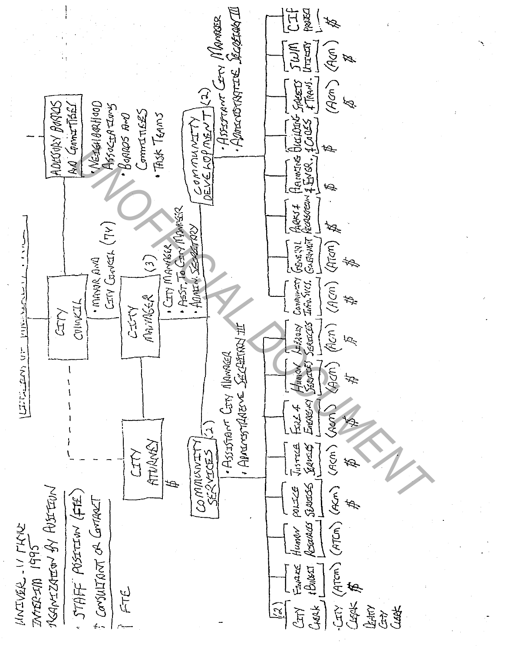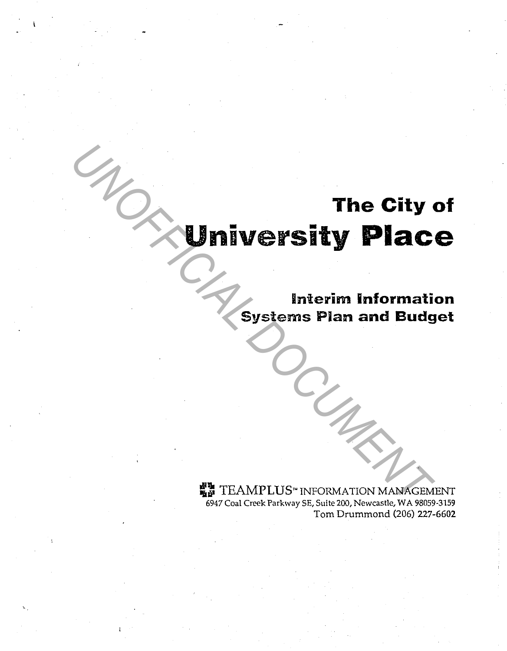# **The City of University Place**  The City of **University Place**<br>
Systems Plan and Budg<br>
Systems Plan and Budg<br>
Systems Plan and Budg<br>
Contract Parkway SE, Sulte 200, Newcastle, WA 98059

**Interim Information Systems Pian and Budget** 

**WE TEAMPLUS**" INFORMATION MANAGEMENT 6947 Coal Creek Parkway SE, Suite 200, Newcastle, WA 98059-3159 Tom Drummond (206) 227-6602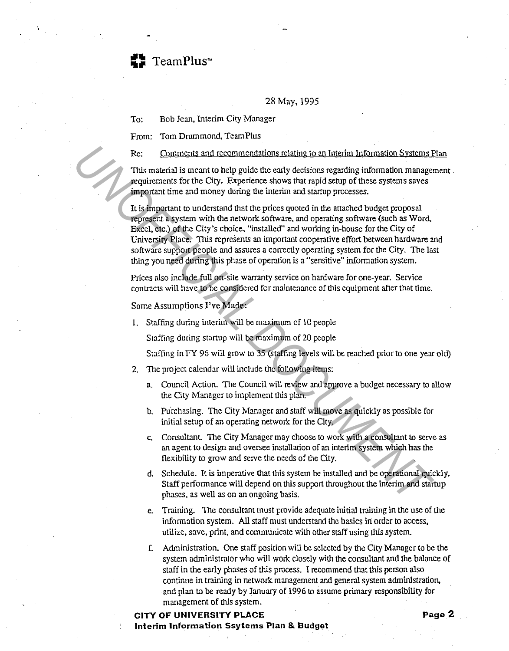TeamPlus<sup>~</sup>

28 May, 1995

To: Bob Jean, Interim City Manager

From: Tom Drummond, TeamPlus

Re: Comments and recommendations relating to an Interim Information Systems Plan

'This material is meant to help guide the early decisions regarding information management requirements for the City. Experience shows that rapid setup of these systems saves important time and money during the interim and startup processes.

It is important to understand that the prices quoted in the attached budget proposal represent a system with the network software, and operating software (such as Word, Excel, etc.) of the City's choice, "installed" and working in-house for the City of University Place. This represents an important cooperative effort between hardware and software support people and assures a correctly operating system for the City. The last thing you need during this phase of operation is a "sensitive" information system. Re: Comments and recommendshions relating to an Interim Information Systems<br> **This material is meant to help guide the early decisions regarding information manage<br>
requirements for the City. Experience shows that rapid se** 

Prices also include full on-site warranty service on hardware for one-year. Service contracts will have to be considered for maintenance of this equipment after that time.

#### Some Assumptions I've Made:

I. Staffing during interim will be maximum of IO people

Staffing during startup will be maximum of 20 people

Staffing in FY 96 will grow to 35 (staffing levels will be reached prior to one year old)

- 2. The project calendar will include the following items:
	- a. Council Action. The Council will review and approve a budget necessary to allow the City Manager to implement this plan.
	- b. Purchasing. The City Manager and staff will move as quickly as possible for initial setup of an operating network for the City.
	- c. Consultant. The City Manager may choose to work with a consultant to serve as an agent to design and oversee installation of an interim system which has the flexibility to grow and serve the needs of the City.
	- d. Schedule. It is imperative that this system be installed and be operational quickly. Staff performance will depend on this support throughout the interim and startup phases, as well as on an ongoing basis.
	- e. Training. The consultant must provide adequate initial training in the use of the information system. All staff must understand the basics in order to access, utilize, save, print, and communicate with other staff using this system.
	- f. Administration. One staff position will be selected by the City Manager to be the system administrator who will work closely with the consultant and the balance of staff in the early phases of this process. I recommend that this person also continue in training in network management and general system administration, and plan to be ready by January of 1996 to assume primary responsibility for management of this system.

#### **CITY OF UNIVERSITY PLACE Page 2 Interim Information Ssytems Plan & Budget**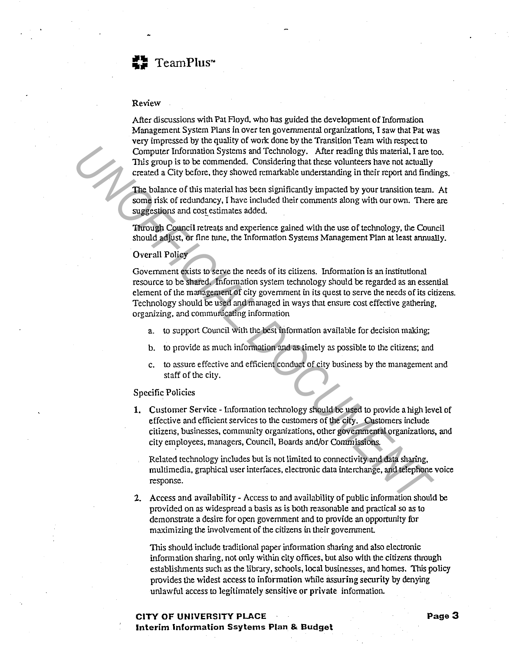#### Review

After discussions with Pat Floyd, who has guided the development of Information Management System Plans in over ten governmental organizations, I saw that Pat was very impressed by the quality of work done by the Transition Team with respect to Computer Information Systems and Technology. After reading this material, I are too. This group is to be commended. Considering that these volunteers have not actually created a City before, they showed remarkable understanding in their report and findings.

The balance of this material has been significantly impacted by your transition team. At some risk of redundancy, I have included their comments along with our own. There are suggestions and cost estimates added.

Through Council retreats and experience gained with the use of technology, the Council should adjust, or fine tune, the Information Systems Management Plan at least annually.

#### Overall Policy

Government exists to serve the needs of its citizens. Wormation is an institutional resource to be shared. Information system technology should be regarded as an essential element of the management of city government in its quest to serve the needs of its citizens. Technology should be used and managed in ways that ensure cost effective gathering, organizing, and communicating information **This group is to be commended.** Considering that these volumes from the consideration of the consideration of this match and the considered in the considered in the considered in the considered in the batter of this match

- a. to support Council with the best information available for decision making;
- b. to provide as much information and as timely as possible to the citizens; and
- c. to assure effective and efficient conduct of city business by the management and staff of the city.

#### Specific Policies

**1.** Customer Service - Information technology should be used to provide a high level of effective and efficient services to the customers of the city. Customers include citizens, businesses, community organizations, other governmental organizations, and city employees, managers, Council, Boards and/or Commissions.

Related technology includes but is not limited to connectivity and data sharing, multimedia, graphical user interfaces, electronic data interchange, and telephone voice response.

2. Access and availability - Access to and availability of public information should be provided on as widespread a basis as is both reasonable and practical so as to demonstrate a desire for open government and to provide an opportunity for maximizing the involvement of the citizens in their government

This should include traditional paper information sharing and also electronic information sharing, not only within city offices, but also with the citizens through establishments such as the library, schools, local businesses, and homes. This policy provides the widest access to information while assuring security by denying unlawful access to legitimately sensitive or private information.

#### **CITY OF UNIVERSITY PLACE** Page 3 **Interim Information Ssytems Plan & Budget**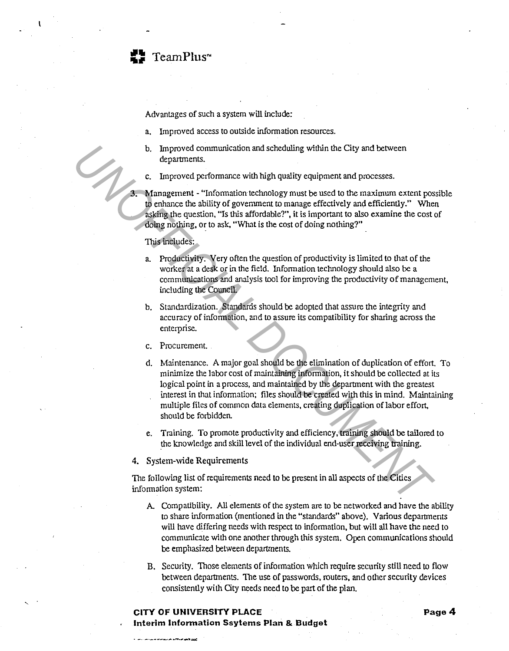

Advantages of such a system will include:

- a. Improved access to outside information resources.
- b. Improved communication and scheduling within the City and between departments.
- Improved performance with high quality equipment and processes.

3. Management - "Information technology must be used to the maximum extent possible to enhance the ability of government to manage effectively and efficiently." When asking the question, "Is this affordable?", it is important to also examine the cost of doing nothing, or to ask, "What is the cost of doing nothing?"

#### 'This includes:

- a. Productivity. Very often the question of productivity is limited to that of the worker at a desk or in the field. Information technology should also be a communications and analysis tool for improving the productivity of management, including the Council.
- b. Standardization. Standards should be adopted that assure the integrity and accuracy of information, and to assure its compatibility for sharing across the enterprise.
- c. Procurement.
- d. Maintenance. A major goal should be the elimination of duplication of effort. To minimize the labor cost of maintaining information, it should be collected at its logical point in a process, and maintained by the department with the greatest interest in that information; files should be created with this in mind. Maintaining multiple files of common data elements, creating duplication of labor effort, should be forbidden. **13.** Improved communication and scheduling within the City and between<br> **13.** Improved performance with high quality equipment and processes.<br> **14.** Improved performance with high quality equipment and processes.<br> **14.** I
	- e. Training. To promote productivity and efficiency, training should be tailored to the knowledge and skill level of the individual end-user receiving training.
	- 4. System-wide Requirements

The following list of requirements need to be present in all aspects of the Cities information system:

- A. Compatibility. All elements of the system are to be networked and have the ability to share information (mentioned in the "standards" above). Various departments will have differing needs with respect to information, but will all have the need to communicate with one another through this system. Open communications should be emphasized between departments.
- B. Security. Those elements of information which require security still need to flow between departments. The use of passwords, routers, and other security devices consistently with City needs need to be part of the plan.

#### **CITY OF UNIVERSITY PLACE And A Page 4 Interim Information Ssytems Plan & Budget**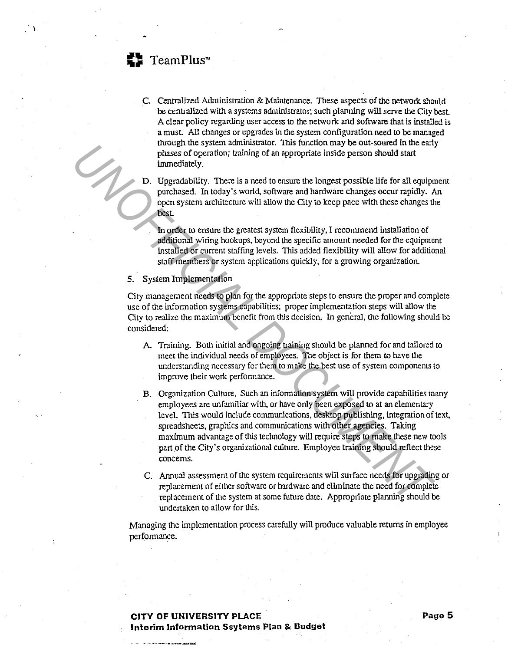

 $\mathbf{I}$ 

C. Centralized Administration & Maintenance. These aspects of the network should be centralized with a systems administrator; such planning will serve the City best A clear policy regarding user access to the network and software that is installed is a must All changes or upgrades in the system configuration need to be managed through the system administrator. This function may be out-soured in the early phases of operation; training of an appropriate inside person should start immediately.

D. Upgradability. There is a need to ensure the longest possible life for all equipment purchased. In today's world, software and hardware changes occur rapidly. An open system architecture will allow the City to keep pace with these changes the best

In order to ensure the greatest system flexibility, I reconunend installation of additional wiring hookups, beyond the specific amount needed for the equipment installed or current staffing levels. This added flexibility will allow for additional staff members or system applications quickly, for a growing organization.

#### 5. System Implementation

City management needs to plan for the appropriate steps to ensure the proper and complete use of the information systems capabilities; proper implementation steps will allow the City to realize the maximum benefit from this decision. In general, the following should be considered:

- A Training. Both initial and ongoing training should be planned for and tailored to meet the individual needs of employees. The object is for them to have the understanding necessary for them to make the best use of system components to improve their work performance.
- B. Organization Culture. Such an information system will provide capabilities many employees are unfamiliar with, or have only been exposed to at an elementary level. This would include communications, desktop publishing, integration of text, spreadsheets, graphics and communications with other agencies. Taking maximum advantage of this technology will require steps to make these new tools part of the City's organizational culture. Employee training should reflect these concerns. **UNIQUE THE System antimizable and the method in the method in the set of percention; training of an appropriate Inside person should start<br>immediately.<br>
D. Upgradability. There is a need to ensure the longest possible lif** 
	- C. Annual assessment of the system requirements will surface needs for upgrading or replacement of either software or hardware and eliminate the need for complete . replacement of the system at some future date. Appropriate planning should be undertaken to allow for this.

Managing the implementation process carefully will produce valuable returns in employee performance.

#### **CITY OF UNIVERSITY PLACE** Page 5 **Interim Information Ssytems Plan & Budget**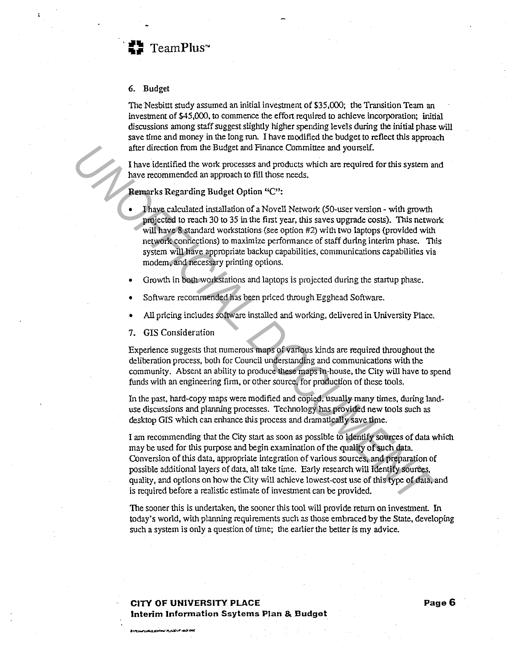

#### 6. Budget

The Nesbittt study assumed an initial investment of \$35,000; the Transition Team an investment of \$45,000, to commence the effort required to achieve incorporation; initial discussions among staff suggest slightly higher spending levels during the initial phase will save time and money in the long run. I have modified the budget to reflect this approach after direction from the Budget and Finance Committee and yourself.

I have identified the work processes and products which are required for this system and have recommended an approach to fill those needs.

Remarks Regarding Budget Option "C":

- I have calculated installation of a Novell Network (50-user version with growth projected to reach 30 to 35 in the first year, this saves upgrade costs). This network will have 8 standard workstations (see option #2) with two laptops (provided with network connections) to maximize performance of staff during interim phase. This system will have appropriate backup capabilities, communications capabilities via modem, and necessary printing options. after direction from the Budget and Finance Committee and yourself.<br> **Thave incommended an approach to fill those needs.**<br> **Thave recommended an approach to fill those needs.**<br> **UNOFFICIAL DOCUMENTAL DOCUMENTAL DOCUMENTAL** 
	- Growth in both workstations and laptops is projected during the startup phase.
	- Software recommended has been priced through Egghead Software.
	- All pricing includes software installed and working, delivered in University Place.
	- 7. GIS Consideration

Experience suggests that numerous maps of various kinds are required throughout the deliberation process, both for Council understanding and communications with the community. Absent an ability to produce these maps in-house, the City will have to spend funds with an engineering firm, or other source, for production of these tools.

In the past. hard-copy maps were modified and copied, usually many times, during landuse discussions and planning processes. Technology has provided new tools such as desktop GIS which can enhance this process and dramatically save time.

I am recommending that the City start as soon as possible to identify sources of data which may be used for this purpose and begin examination of the quality of such data. Conversion of this data, appropriate integration of various sources, and preparation of possible additional layers of data, all take time. Early research will identify sources, quality, and options on how the City will achieve lowest-cost use of this type of data, and is required before a realistic estimate of investment can be provided.

The sooner this is undertaken, the sooner this tool will provide return on investment. In today's world, with planning requirements such as those embraced by the State, developing such a system is only a question of time; the earlier the better is my advice.

#### **CITY OF UNIVERSITY PLACE Page6 Interim Information Ssytems Plan & Budget**

**BITCH PURCHENTING PLACENT 401**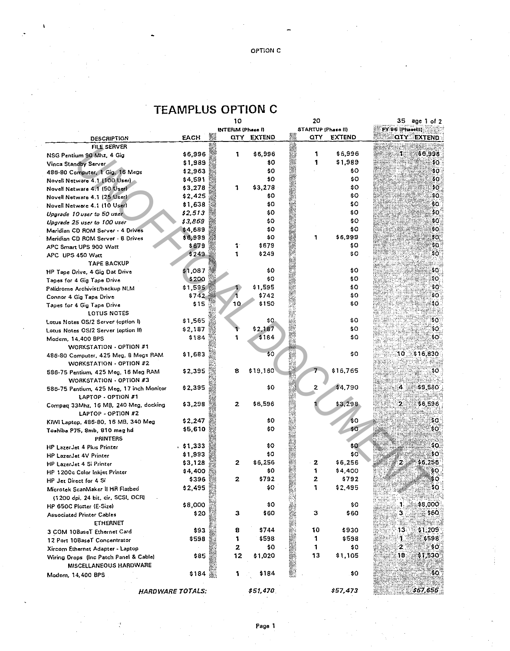### **TEAMPLUS OPTION C**

|                                                                 |         | 10                |               | 20                      |               | 35.             | age i ol 2         |
|-----------------------------------------------------------------|---------|-------------------|---------------|-------------------------|---------------|-----------------|--------------------|
|                                                                 |         | INTERIM (Phase I) |               | STARTUP (Phase II)      |               | EX:96 [Phasel]] |                    |
| <b>DESCRIPTION</b>                                              | EACH    | $\alpha$ ty       | <b>EXTEND</b> | QTY                     | <b>EXTEND</b> |                 | <b>QIY EXTEND:</b> |
| <b>FILE SERVER</b>                                              |         |                   |               |                         |               |                 |                    |
| NSG Pentium 90 Mhz, 4 Gig                                       | \$6,996 | 1.                | \$6,996       | 1                       | \$6,996       | л               | 36,998             |
| Vinca Standby Server                                            | \$1,989 |                   | \$0           | 1                       | \$1,989       |                 | \$0.               |
| 486-80 Computer, 1 Gig, 16 Megs                                 | \$2,963 |                   | \$0           |                         | \$0           |                 | \$0.               |
| Novell Netware 4.1 (100 User)                                   | \$4,591 |                   | \$0           |                         | \$0.          |                 | 50.                |
| Novell Netware 4.1 (50 Userl                                    | \$3,278 | 1                 | \$3,278       |                         | \$0           |                 | 50.                |
| Novell Netware 4.1 (25 User)                                    | \$2,425 |                   | \$0           |                         | \$0           |                 | so.                |
| Novell Netware 4.1 (10 User)                                    | \$1,638 |                   | \$0           |                         | \$0           |                 | \$0.               |
| Upgrade 10 user to 50 user                                      | \$2,513 |                   | \$0           |                         | \$0           |                 | \$0€               |
| Upgrade 25 user to 100 user                                     | \$3,869 |                   | \$0           |                         | \$0           |                 | \$0.               |
| Maridian CD ROM Server - 4 Drives                               | \$4,689 |                   | \$O           |                         | ŝ٥            |                 | \$0.               |
| Meridian CD ROM Server 8 Drives                                 | \$6,999 |                   | 80            | 1                       | \$6,999       |                 | 30,                |
| APC Smart UPS 900 Watt                                          | \$679   | 1.                | \$679         |                         | \$O.          |                 | so.                |
| APC UPS 450 Watt                                                | \$249   | 1                 | \$249         |                         | \$O           |                 | \$0.               |
| <b>TAPE BACKUP</b>                                              |         |                   |               |                         |               |                 |                    |
| HP Tape Drive, 4 Gig Dat Drive                                  | \$1,087 |                   | \$0           |                         | \$0           |                 | \$0.               |
| Tapes for 4 Gig Tape Drive                                      | \$200   |                   | \$0           |                         | \$0           |                 | ŞO.                |
| Palidrome Archivist/backup NLM                                  | \$1,595 |                   | \$1,595       |                         | \$O           |                 | \$0.               |
| Connor 4 Gig Tape Drive                                         | \$742   |                   | \$742         |                         | \$0           |                 | \$0:               |
| Tapes for 4 Gig Tape Drive                                      | \$15    | 10                | \$150         |                         | \$O           |                 | 30.                |
| LOTUS NOTES                                                     |         |                   |               |                         |               |                 |                    |
| Lotus Notes OS/2 Server (option I)                              | \$1,565 |                   | \$0.          |                         | \$0           |                 | \$0.               |
| Lotus Notes OS/2 Server (option II)                             | \$2,187 |                   | \$2,187       |                         | \$0           |                 | 30.                |
| Modem, 14,400 BPS                                               | \$184   |                   | \$184         |                         | ŝ٥            |                 | ₿O                 |
| WORKSTATION - OPTION #1                                         |         |                   |               |                         |               |                 |                    |
| 486-80 Computer, 425 Meg, 8 Megs RAM<br>WORKSTATION - OPTION #2 | \$1,683 |                   | \$0           |                         | \$0           | 30.             | \$16,830           |
| 586-75 Pentium, 425 Meg, 16 Meg RAM<br>WORKSTATION - OPTION #3  | \$2,395 | 8                 | \$19,160      |                         | \$16,765      |                 | 30.                |
| 586-75 Pentium, 425 Meg, 17 inch Monitor<br>LAPTOP - OPTION #1  | \$2,395 |                   | \$0           | $\overline{\mathbf{z}}$ | \$4,790       | 4               | \$9,580            |
| Compaq 33Mhz, 16 MB, 240 Meg, docking<br>LAPTOP - OPTION #2     | \$3,298 | $\mathbf{z}$      | \$6,596       |                         | \$3,298       | 2.              | \$6,596            |
|                                                                 | \$2,247 |                   | \$0           |                         | \$0           |                 | sa:                |
| KIWI Laptop, 486-80, 16 MB, 340 Meg                             | \$5,610 |                   | \$0           |                         | \$0           |                 | \$O.               |
| Toshiba P75, 8mb, 810 meg hd<br><b>PRINTERS</b>                 |         |                   |               |                         |               |                 |                    |
| <b>HP LazerJet 4 Plus Printer</b>                               | 51.333  |                   | \$0           |                         | \$0           |                 | \$0.               |
| HP LazerJet 4V Printer                                          | \$1,993 |                   | \$0           |                         | \$O           |                 | \$0.               |
| HP LazerJet 4 Si Printer                                        | \$3,128 | 2                 | \$6,256       | 2                       | \$6,256       | 2               | \$6.256            |
| HP 1200c Color Inkjet Printer                                   | \$4,400 |                   | \$0           | 1                       | \$4,400       |                 | 60.                |
| HP Jer Direct for 4 Si                                          | \$396   | 2                 | \$792         | 2                       | \$792         |                 | \$0.               |
| Microtek ScanMaker II HR Flatbed                                | \$2,495 |                   | \$0           | 1                       | \$2,495       |                 | so:                |
| (1200 dpi, 24 bit, cir, SCSI, OCR)                              |         |                   |               |                         |               |                 |                    |
| HP 650C Plotter (E-Size)                                        | \$8,000 |                   | \$0           |                         | \$O           | Л,              | \$8,000            |
| <b>Associated Printer Cables</b>                                | \$20    | з                 | \$60          | з                       | \$60          | 3               | \$60               |
| <b>ETHERNET</b>                                                 |         |                   |               |                         |               |                 |                    |
| 3 COM 108aseT Ethernet Card                                     | \$93    | 8                 | \$744         | 10                      | \$930         | 13              | \$1,209            |
| 12 Port 10BaseT Concentrator                                    | \$598   | 1                 | \$598         | 1                       | \$598         | ٦.              | \$598              |
| Xircom Ethernet Adapter - Laptop                                |         | 2                 | \$0           | 1                       | \$0           | $\mathbf{2}$    | ŞO.                |
| Wiring Drops (Inc Patch Panel & Cable)                          | \$85    | 12                | \$1,020       | 13                      | \$1,105       | 18              | \$1,530            |
| MISCELLANEOUS HARDWARE                                          |         |                   |               |                         |               |                 |                    |
| Modem, 14,400 BPS                                               | \$184   | 1<br>20           | \$184         |                         | \$0           |                 | SO.                |
| <b>HARDWARE TOTALS:</b>                                         |         |                   | \$51,470      |                         | \$57,473      |                 | 367,656            |